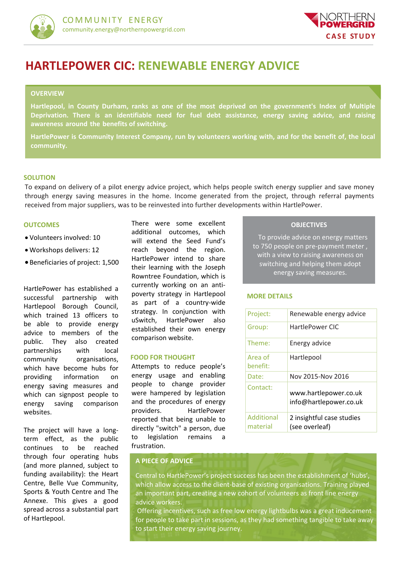



# **HARTLEPOWER CIC: RENEWABLE ENERGY ADVICE**

### **OVERVIEW**

**Hartlepool, in County Durham, ranks as one of the most deprived on the government's Index of Multiple Deprivation. There is an identifiable need for fuel debt assistance, energy saving advice, and raising awareness around the benefits of switching.** 

**HartlePower is Community Interest Company, run by volunteers working with, and for the benefit of, the local community.**

#### **SOLUTION**

To expand on delivery of a pilot energy advice project, which helps people switch energy supplier and save money through energy saving measures in the home. Income generated from the project, through referral payments received from major suppliers, was to be reinvested into further developments within HartlePower.

#### **OUTCOMES**

- Volunteers involved: 10
- Workshops delivers: 12
- Beneficiaries of project: 1,500

HartlePower has established a successful partnership with Hartlepool Borough Council, which trained 13 officers to be able to provide energy advice to members of the public. They also created partnerships with local community organisations, which have become hubs for providing information on energy saving measures and which can signpost people to energy saving comparison websites.

The project will have a longterm effect, as the public continues to be reached through four operating hubs (and more planned, subject to funding availability): the Heart Centre, Belle Vue Community, Sports & Youth Centre and The Annexe. This gives a good spread across a substantial part of Hartlepool.

There were some excellent additional outcomes, which will extend the Seed Fund's reach beyond the region. HartlePower intend to share their learning with the Joseph Rowntree Foundation, which is currently working on an antipoverty strategy in Hartlepool as part of a country-wide strategy. In conjunction with uSwitch, HartlePower also established their own energy comparison website.

#### **FOOD FOR THOUGHT**

Attempts to reduce people's energy usage and enabling people to change provider were hampered by legislation and the procedures of energy providers. HartlePower reported that being unable to directly "switch" a person, due to legislation remains a frustration.

#### **OBJECTIVES**

To provide advice on energy matters to 750 people on pre-payment meter , with a view to raising awareness on switching and helping them adopt energy saving measures.

### **MORE DETAILS**

| Project:               | Renewable energy advice                         |
|------------------------|-------------------------------------------------|
| Group:                 | HartlePower CIC                                 |
| Theme:                 | Energy advice                                   |
| Area of<br>benefit:    | Hartlepool                                      |
| Date:                  | Nov 2015-Nov 2016                               |
| Contact:               | www.hartlepower.co.uk<br>info@hartlepower.co.uk |
| Additional<br>material | 2 insightful case studies<br>(see overleaf)     |

## **A PIECE OF ADVICE**

Central to HartlePower's project success has been the establishment of 'hubs', which allow access to the client-base of existing organisations. Training played an important part, creating a new cohort of volunteers as front line energy advice workers.

Offering incentives, such as free low energy lightbulbs was a great inducement for people to take part in sessions, as they had something tangible to take away to start their energy saving journey.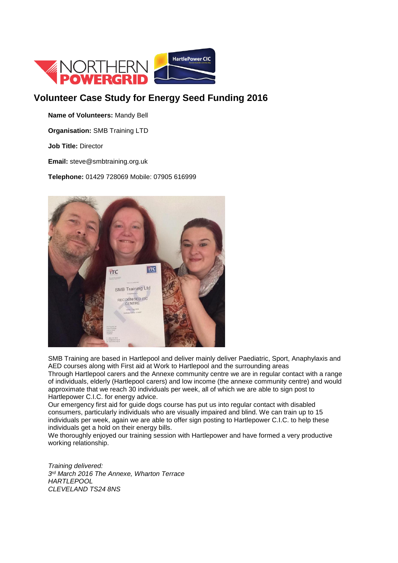

# **Volunteer Case Study for Energy Seed Funding 2016**

**Name of Volunteers:** Mandy Bell

**Organisation:** SMB Training LTD

**Job Title:** Director

**Email:** steve@smbtraining.org.uk

**Telephone:** 01429 728069 Mobile: 07905 616999



SMB Training are based in Hartlepool and deliver mainly deliver Paediatric, Sport, Anaphylaxis and AED courses along with First aid at Work to Hartlepool and the surrounding areas Through Hartlepool carers and the Annexe community centre we are in regular contact with a range of individuals, elderly (Hartlepool carers) and low income (the annexe community centre) and would

approximate that we reach 30 individuals per week, all of which we are able to sign post to Hartlepower C.I.C. for energy advice.

Our emergency first aid for guide dogs course has put us into regular contact with disabled consumers, particularly individuals who are visually impaired and blind. We can train up to 15 individuals per week, again we are able to offer sign posting to Hartlepower C.I.C. to help these individuals get a hold on their energy bills.

We thoroughly enjoyed our training session with Hartlepower and have formed a very productive working relationship.

*Training delivered: 3 rd March 2016 The Annexe, Wharton Terrace HARTLEPOOL CLEVELAND TS24 8NS*